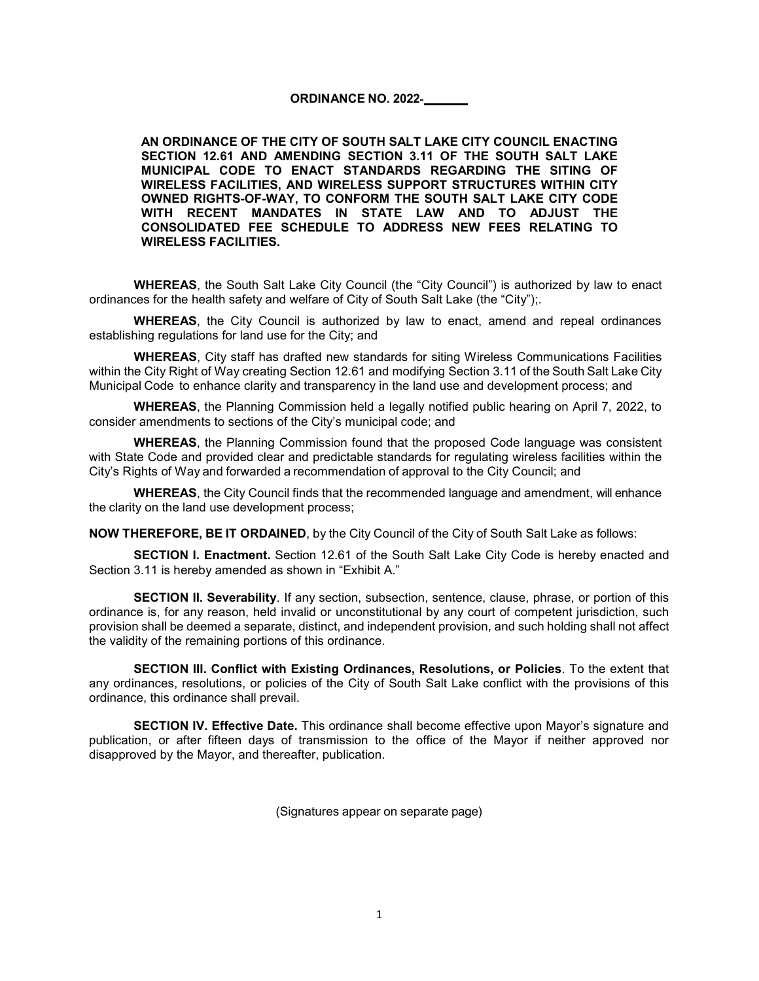#### **ORDINANCE NO. 2022**‐

**AN ORDINANCE OF THE CITY OF SOUTH SALT LAKE CITY COUNCIL ENACTING SECTION 12.61 AND AMENDING SECTION 3.11 OF THE SOUTH SALT LAKE MUNICIPAL CODE TO ENACT STANDARDS REGARDING THE SITING OF WIRELESS FACILITIES, AND WIRELESS SUPPORT STRUCTURES WITHIN CITY OWNED RIGHTS-OF-WAY, TO CONFORM THE SOUTH SALT LAKE CITY CODE WITH RECENT MANDATES IN STATE LAW AND TO ADJUST THE CONSOLIDATED FEE SCHEDULE TO ADDRESS NEW FEES RELATING TO WIRELESS FACILITIES.**

**WHEREAS**, the South Salt Lake City Council (the "City Council") is authorized by law to enact ordinances for the health safety and welfare of City of South Salt Lake (the "City");.

**WHEREAS**, the City Council is authorized by law to enact, amend and repeal ordinances establishing regulations for land use for the City; and

**WHEREAS**, City staff has drafted new standards for siting Wireless Communications Facilities within the City Right of Way creating Section 12.61 and modifying Section 3.11 of the South Salt Lake City Municipal Code to enhance clarity and transparency in the land use and development process; and

**WHEREAS**, the Planning Commission held a legally notified public hearing on April 7, 2022, to consider amendments to sections of the City's municipal code; and

**WHEREAS**, the Planning Commission found that the proposed Code language was consistent with State Code and provided clear and predictable standards for regulating wireless facilities within the City's Rights of Way and forwarded a recommendation of approval to the City Council; and

**WHEREAS**, the City Council finds that the recommended language and amendment, will enhance the clarity on the land use development process;

**NOW THEREFORE, BE IT ORDAINED**, by the City Council of the City of South Salt Lake as follows:

**SECTION I. Enactment.** Section 12.61 of the South Salt Lake City Code is hereby enacted and Section 3.11 is hereby amended as shown in "Exhibit A."

**SECTION II. Severability**. If any section, subsection, sentence, clause, phrase, or portion of this ordinance is, for any reason, held invalid or unconstitutional by any court of competent jurisdiction, such provision shall be deemed a separate, distinct, and independent provision, and such holding shall not affect the validity of the remaining portions of this ordinance.

**SECTION III. Conflict with Existing Ordinances, Resolutions, or Policies**. To the extent that any ordinances, resolutions, or policies of the City of South Salt Lake conflict with the provisions of this ordinance, this ordinance shall prevail.

**SECTION IV. Effective Date.** This ordinance shall become effective upon Mayor's signature and publication, or after fifteen days of transmission to the office of the Mayor if neither approved nor disapproved by the Mayor, and thereafter, publication.

(Signatures appear on separate page)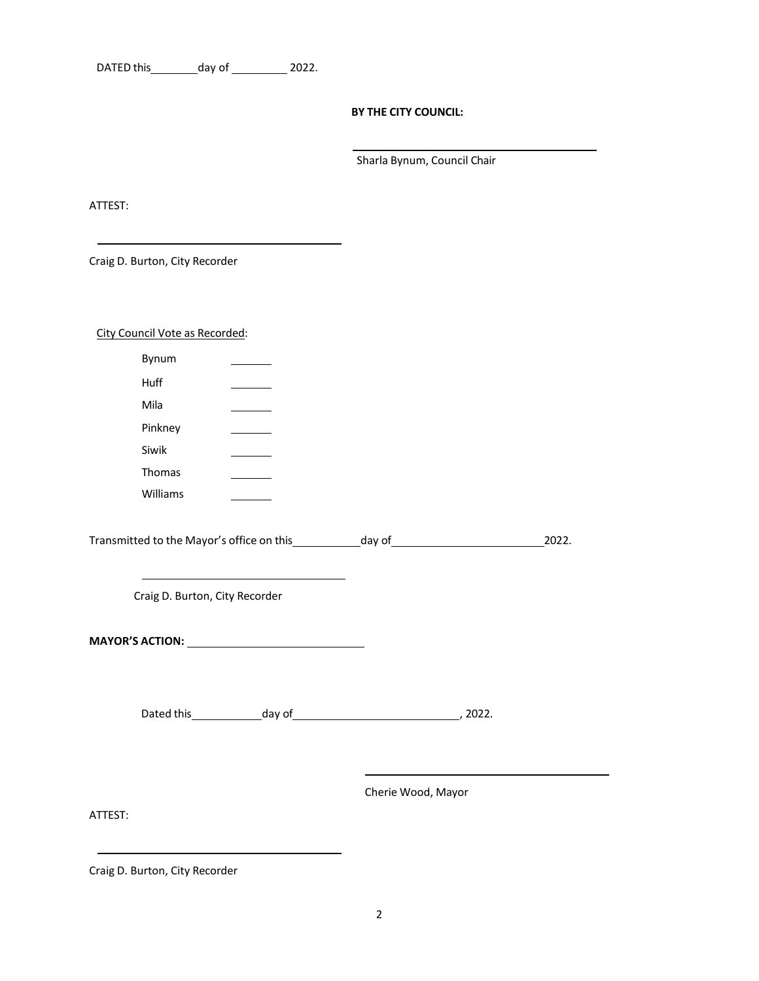| DATED this | day of | 2022. |
|------------|--------|-------|
|------------|--------|-------|

#### **BY THE CITY COUNCIL:**

Sharla Bynum, Council Chair

ATTEST:

Craig D. Burton, City Recorder

|  |  | City Council Vote as Recorded: |
|--|--|--------------------------------|
|  |  |                                |

| Bynum                                                                             |                                                                                           |  |       |
|-----------------------------------------------------------------------------------|-------------------------------------------------------------------------------------------|--|-------|
| Huff                                                                              |                                                                                           |  |       |
| Mila                                                                              |                                                                                           |  |       |
| Pinkney                                                                           | the control of the control of                                                             |  |       |
| Siwik                                                                             | $\sim$ $\sim$                                                                             |  |       |
| Thomas                                                                            | $\sim$ $\sim$                                                                             |  |       |
| Williams                                                                          |                                                                                           |  |       |
| Transmitted to the Mayor's office on this _____________day of____________________ |                                                                                           |  | 2022. |
| Craig D. Burton, City Recorder                                                    | the control of the control of the control of the control of the control of the control of |  |       |
|                                                                                   | MAYOR'S ACTION: ________________________________                                          |  |       |

Cherie Wood, Mayor

ATTEST:

Craig D. Burton, City Recorder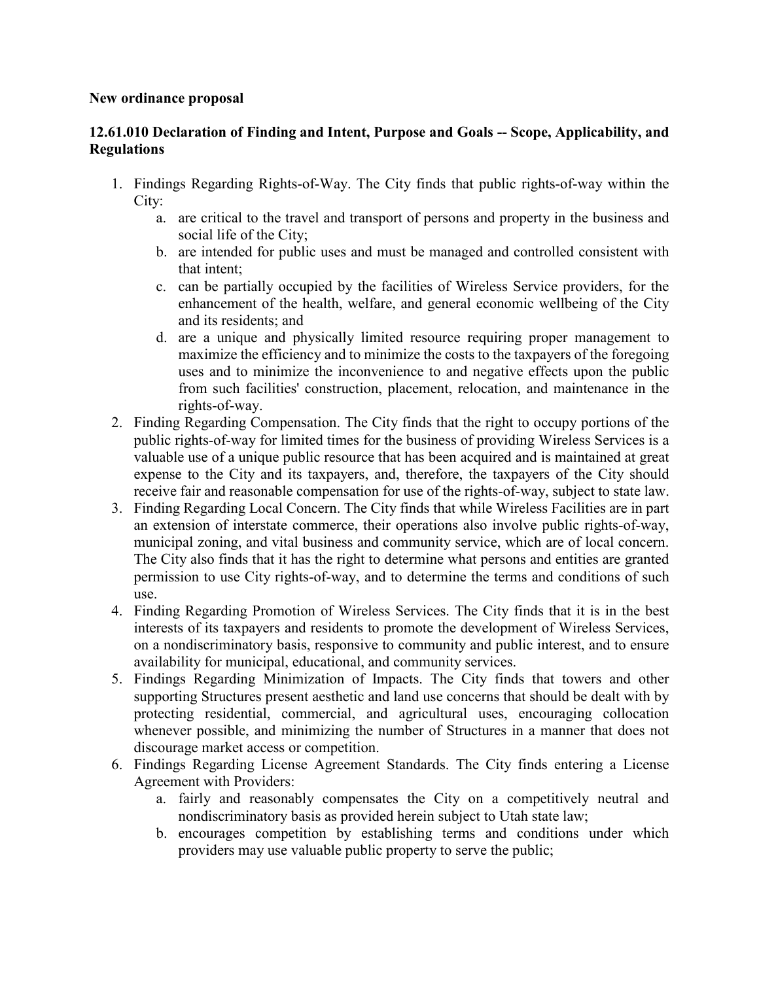#### **New ordinance proposal**

# **12.61.010 Declaration of Finding and Intent, Purpose and Goals -- Scope, Applicability, and Regulations**

- 1. Findings Regarding Rights-of-Way. The City finds that public rights-of-way within the City:
	- a. are critical to the travel and transport of persons and property in the business and social life of the City;
	- b. are intended for public uses and must be managed and controlled consistent with that intent;
	- c. can be partially occupied by the facilities of Wireless Service providers, for the enhancement of the health, welfare, and general economic wellbeing of the City and its residents; and
	- d. are a unique and physically limited resource requiring proper management to maximize the efficiency and to minimize the costs to the taxpayers of the foregoing uses and to minimize the inconvenience to and negative effects upon the public from such facilities' construction, placement, relocation, and maintenance in the rights-of-way.
- 2. Finding Regarding Compensation. The City finds that the right to occupy portions of the public rights-of-way for limited times for the business of providing Wireless Services is a valuable use of a unique public resource that has been acquired and is maintained at great expense to the City and its taxpayers, and, therefore, the taxpayers of the City should receive fair and reasonable compensation for use of the rights-of-way, subject to state law.
- 3. Finding Regarding Local Concern. The City finds that while Wireless Facilities are in part an extension of interstate commerce, their operations also involve public rights-of-way, municipal zoning, and vital business and community service, which are of local concern. The City also finds that it has the right to determine what persons and entities are granted permission to use City rights-of-way, and to determine the terms and conditions of such use.
- 4. Finding Regarding Promotion of Wireless Services. The City finds that it is in the best interests of its taxpayers and residents to promote the development of Wireless Services, on a nondiscriminatory basis, responsive to community and public interest, and to ensure availability for municipal, educational, and community services.
- 5. Findings Regarding Minimization of Impacts. The City finds that towers and other supporting Structures present aesthetic and land use concerns that should be dealt with by protecting residential, commercial, and agricultural uses, encouraging collocation whenever possible, and minimizing the number of Structures in a manner that does not discourage market access or competition.
- 6. Findings Regarding License Agreement Standards. The City finds entering a License Agreement with Providers:
	- a. fairly and reasonably compensates the City on a competitively neutral and nondiscriminatory basis as provided herein subject to Utah state law;
	- b. encourages competition by establishing terms and conditions under which providers may use valuable public property to serve the public;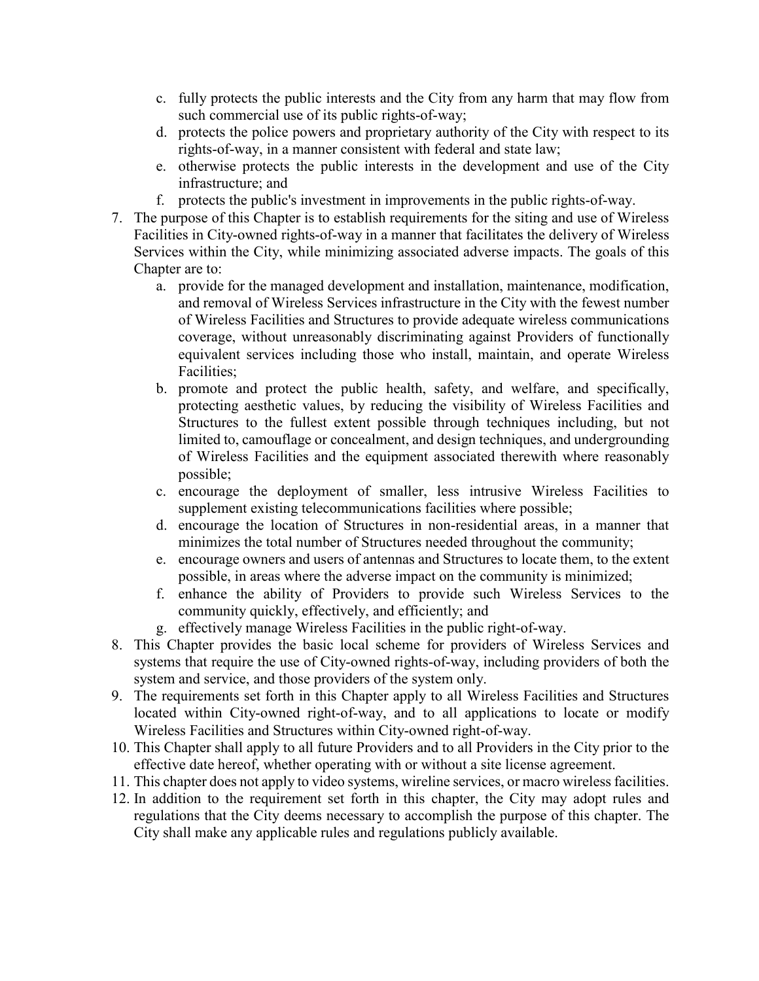- c. fully protects the public interests and the City from any harm that may flow from such commercial use of its public rights-of-way;
- d. protects the police powers and proprietary authority of the City with respect to its rights-of-way, in a manner consistent with federal and state law;
- e. otherwise protects the public interests in the development and use of the City infrastructure; and
- f. protects the public's investment in improvements in the public rights-of-way.
- 7. The purpose of this Chapter is to establish requirements for the siting and use of Wireless Facilities in City-owned rights-of-way in a manner that facilitates the delivery of Wireless Services within the City, while minimizing associated adverse impacts. The goals of this Chapter are to:
	- a. provide for the managed development and installation, maintenance, modification, and removal of Wireless Services infrastructure in the City with the fewest number of Wireless Facilities and Structures to provide adequate wireless communications coverage, without unreasonably discriminating against Providers of functionally equivalent services including those who install, maintain, and operate Wireless Facilities;
	- b. promote and protect the public health, safety, and welfare, and specifically, protecting aesthetic values, by reducing the visibility of Wireless Facilities and Structures to the fullest extent possible through techniques including, but not limited to, camouflage or concealment, and design techniques, and undergrounding of Wireless Facilities and the equipment associated therewith where reasonably possible;
	- c. encourage the deployment of smaller, less intrusive Wireless Facilities to supplement existing telecommunications facilities where possible;
	- d. encourage the location of Structures in non-residential areas, in a manner that minimizes the total number of Structures needed throughout the community;
	- e. encourage owners and users of antennas and Structures to locate them, to the extent possible, in areas where the adverse impact on the community is minimized;
	- f. enhance the ability of Providers to provide such Wireless Services to the community quickly, effectively, and efficiently; and
	- g. effectively manage Wireless Facilities in the public right-of-way.
- 8. This Chapter provides the basic local scheme for providers of Wireless Services and systems that require the use of City-owned rights-of-way, including providers of both the system and service, and those providers of the system only.
- 9. The requirements set forth in this Chapter apply to all Wireless Facilities and Structures located within City-owned right-of-way, and to all applications to locate or modify Wireless Facilities and Structures within City-owned right-of-way.
- 10. This Chapter shall apply to all future Providers and to all Providers in the City prior to the effective date hereof, whether operating with or without a site license agreement.
- 11. This chapter does not apply to video systems, wireline services, or macro wireless facilities.
- 12. In addition to the requirement set forth in this chapter, the City may adopt rules and regulations that the City deems necessary to accomplish the purpose of this chapter. The City shall make any applicable rules and regulations publicly available.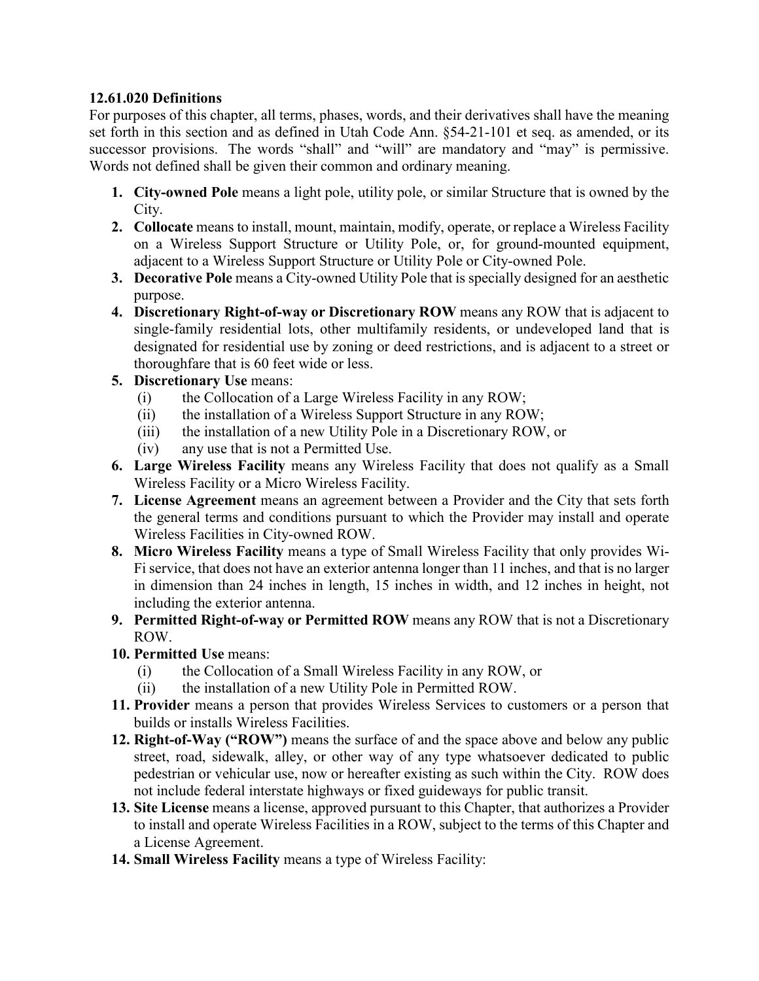## **12.61.020 Definitions**

For purposes of this chapter, all terms, phases, words, and their derivatives shall have the meaning set forth in this section and as defined in Utah Code Ann. §54-21-101 et seq. as amended, or its successor provisions. The words "shall" and "will" are mandatory and "may" is permissive. Words not defined shall be given their common and ordinary meaning.

- **1. City-owned Pole** means a light pole, utility pole, or similar Structure that is owned by the City.
- **2. Collocate** means to install, mount, maintain, modify, operate, or replace a Wireless Facility on a Wireless Support Structure or Utility Pole, or, for ground-mounted equipment, adjacent to a Wireless Support Structure or Utility Pole or City-owned Pole.
- **3. Decorative Pole** means a City-owned Utility Pole that is specially designed for an aesthetic purpose.
- **4. Discretionary Right-of-way or Discretionary ROW** means any ROW that is adjacent to single-family residential lots, other multifamily residents, or undeveloped land that is designated for residential use by zoning or deed restrictions, and is adjacent to a street or thoroughfare that is 60 feet wide or less.
- **5. Discretionary Use** means:
	- (i) the Collocation of a Large Wireless Facility in any ROW;
	- (ii) the installation of a Wireless Support Structure in any ROW;
	- (iii) the installation of a new Utility Pole in a Discretionary ROW, or
	- (iv) any use that is not a Permitted Use.
- **6. Large Wireless Facility** means any Wireless Facility that does not qualify as a Small Wireless Facility or a Micro Wireless Facility.
- **7. License Agreement** means an agreement between a Provider and the City that sets forth the general terms and conditions pursuant to which the Provider may install and operate Wireless Facilities in City-owned ROW.
- **8. Micro Wireless Facility** means a type of Small Wireless Facility that only provides Wi-Fi service, that does not have an exterior antenna longer than 11 inches, and that is no larger in dimension than 24 inches in length, 15 inches in width, and 12 inches in height, not including the exterior antenna.
- **9. Permitted Right-of-way or Permitted ROW** means any ROW that is not a Discretionary ROW.
- **10. Permitted Use** means:
	- (i) the Collocation of a Small Wireless Facility in any ROW, or
	- (ii) the installation of a new Utility Pole in Permitted ROW.
- **11. Provider** means a person that provides Wireless Services to customers or a person that builds or installs Wireless Facilities.
- **12. Right-of-Way ("ROW")** means the surface of and the space above and below any public street, road, sidewalk, alley, or other way of any type whatsoever dedicated to public pedestrian or vehicular use, now or hereafter existing as such within the City. ROW does not include federal interstate highways or fixed guideways for public transit.
- **13. Site License** means a license, approved pursuant to this Chapter, that authorizes a Provider to install and operate Wireless Facilities in a ROW, subject to the terms of this Chapter and a License Agreement.
- **14. Small Wireless Facility** means a type of Wireless Facility: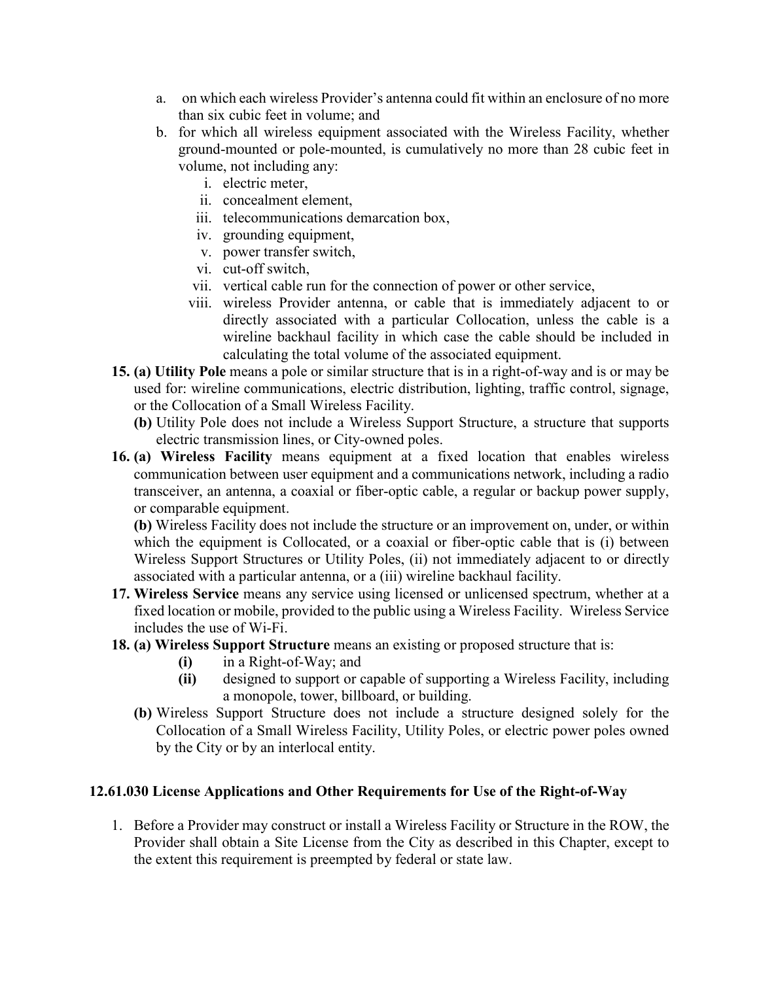- a. on which each wireless Provider's antenna could fit within an enclosure of no more than six cubic feet in volume; and
- b. for which all wireless equipment associated with the Wireless Facility, whether ground-mounted or pole-mounted, is cumulatively no more than 28 cubic feet in volume, not including any:
	- i. electric meter,
	- ii. concealment element,
	- iii. telecommunications demarcation box,
	- iv. grounding equipment,
	- v. power transfer switch,
	- vi. cut-off switch,
	- vii. vertical cable run for the connection of power or other service,
	- viii. wireless Provider antenna, or cable that is immediately adjacent to or directly associated with a particular Collocation, unless the cable is a wireline backhaul facility in which case the cable should be included in calculating the total volume of the associated equipment.
- **15. (a) Utility Pole** means a pole or similar structure that is in a right-of-way and is or may be used for: wireline communications, electric distribution, lighting, traffic control, signage, or the Collocation of a Small Wireless Facility.
	- **(b)** Utility Pole does not include a Wireless Support Structure, a structure that supports electric transmission lines, or City-owned poles.
- **16. (a) Wireless Facility** means equipment at a fixed location that enables wireless communication between user equipment and a communications network, including a radio transceiver, an antenna, a coaxial or fiber-optic cable, a regular or backup power supply, or comparable equipment.

**(b)** Wireless Facility does not include the structure or an improvement on, under, or within which the equipment is Collocated, or a coaxial or fiber-optic cable that is (i) between Wireless Support Structures or Utility Poles, (ii) not immediately adjacent to or directly associated with a particular antenna, or a (iii) wireline backhaul facility.

- **17. Wireless Service** means any service using licensed or unlicensed spectrum, whether at a fixed location or mobile, provided to the public using a Wireless Facility. Wireless Service includes the use of Wi-Fi.
- **18. (a) Wireless Support Structure** means an existing or proposed structure that is:
	- **(i)** in a Right-of-Way; and
	- **(ii)** designed to support or capable of supporting a Wireless Facility, including a monopole, tower, billboard, or building.
	- **(b)** Wireless Support Structure does not include a structure designed solely for the Collocation of a Small Wireless Facility, Utility Poles, or electric power poles owned by the City or by an interlocal entity.

#### **12.61.030 License Applications and Other Requirements for Use of the Right-of-Way**

1. Before a Provider may construct or install a Wireless Facility or Structure in the ROW, the Provider shall obtain a Site License from the City as described in this Chapter, except to the extent this requirement is preempted by federal or state law.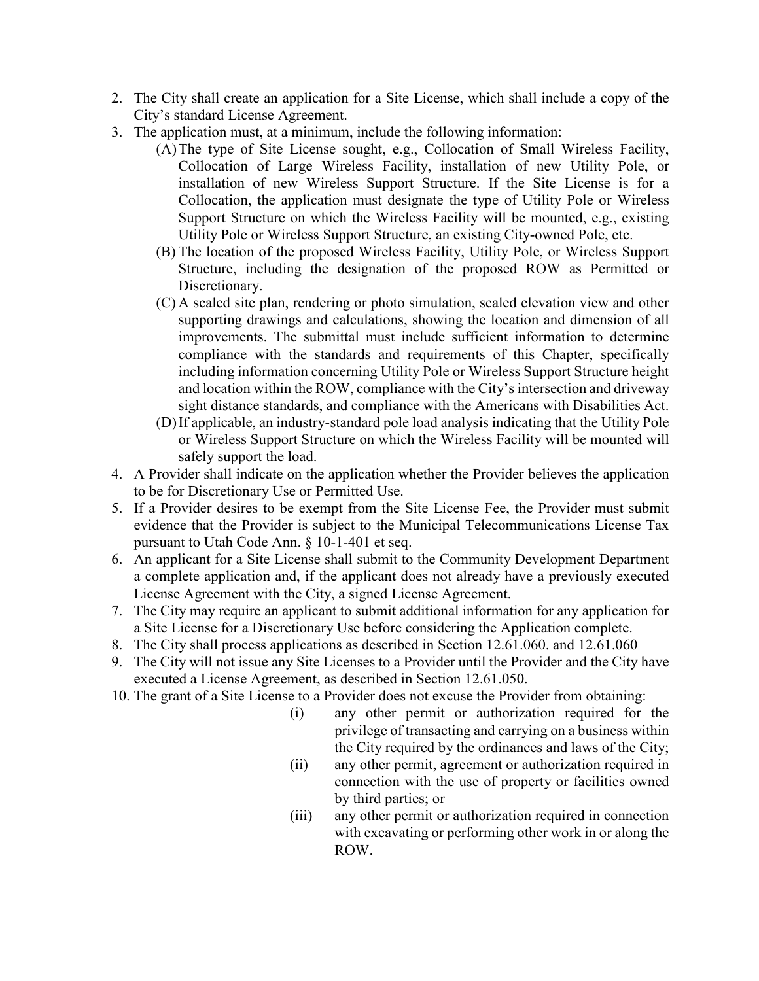- 2. The City shall create an application for a Site License, which shall include a copy of the City's standard License Agreement.
- 3. The application must, at a minimum, include the following information:
	- (A)The type of Site License sought, e.g., Collocation of Small Wireless Facility, Collocation of Large Wireless Facility, installation of new Utility Pole, or installation of new Wireless Support Structure. If the Site License is for a Collocation, the application must designate the type of Utility Pole or Wireless Support Structure on which the Wireless Facility will be mounted, e.g., existing Utility Pole or Wireless Support Structure, an existing City-owned Pole, etc.
	- (B) The location of the proposed Wireless Facility, Utility Pole, or Wireless Support Structure, including the designation of the proposed ROW as Permitted or Discretionary.
	- (C) A scaled site plan, rendering or photo simulation, scaled elevation view and other supporting drawings and calculations, showing the location and dimension of all improvements. The submittal must include sufficient information to determine compliance with the standards and requirements of this Chapter, specifically including information concerning Utility Pole or Wireless Support Structure height and location within the ROW, compliance with the City's intersection and driveway sight distance standards, and compliance with the Americans with Disabilities Act.
	- (D)If applicable, an industry-standard pole load analysis indicating that the Utility Pole or Wireless Support Structure on which the Wireless Facility will be mounted will safely support the load.
- 4. A Provider shall indicate on the application whether the Provider believes the application to be for Discretionary Use or Permitted Use.
- 5. If a Provider desires to be exempt from the Site License Fee, the Provider must submit evidence that the Provider is subject to the Municipal Telecommunications License Tax pursuant to Utah Code Ann. § 10-1-401 et seq.
- 6. An applicant for a Site License shall submit to the Community Development Department a complete application and, if the applicant does not already have a previously executed License Agreement with the City, a signed License Agreement.
- 7. The City may require an applicant to submit additional information for any application for a Site License for a Discretionary Use before considering the Application complete.
- 8. The City shall process applications as described in Section 12.61.060. and 12.61.060
- 9. The City will not issue any Site Licenses to a Provider until the Provider and the City have executed a License Agreement, as described in Section 12.61.050.
- 10. The grant of a Site License to a Provider does not excuse the Provider from obtaining:
	- (i) any other permit or authorization required for the privilege of transacting and carrying on a business within the City required by the ordinances and laws of the City;
	- (ii) any other permit, agreement or authorization required in connection with the use of property or facilities owned by third parties; or
	- (iii) any other permit or authorization required in connection with excavating or performing other work in or along the ROW.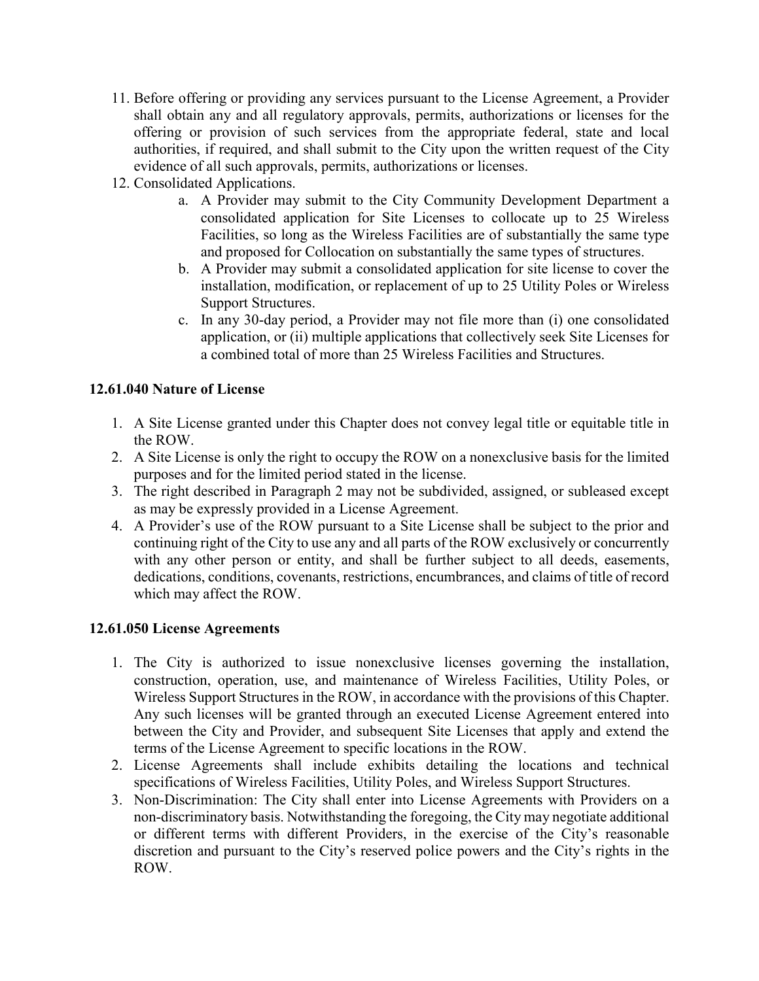- 11. Before offering or providing any services pursuant to the License Agreement, a Provider shall obtain any and all regulatory approvals, permits, authorizations or licenses for the offering or provision of such services from the appropriate federal, state and local authorities, if required, and shall submit to the City upon the written request of the City evidence of all such approvals, permits, authorizations or licenses.
- 12. Consolidated Applications.
	- a. A Provider may submit to the City Community Development Department a consolidated application for Site Licenses to collocate up to 25 Wireless Facilities, so long as the Wireless Facilities are of substantially the same type and proposed for Collocation on substantially the same types of structures.
	- b. A Provider may submit a consolidated application for site license to cover the installation, modification, or replacement of up to 25 Utility Poles or Wireless Support Structures.
	- c. In any 30-day period, a Provider may not file more than (i) one consolidated application, or (ii) multiple applications that collectively seek Site Licenses for a combined total of more than 25 Wireless Facilities and Structures.

## **12.61.040 Nature of License**

- 1. A Site License granted under this Chapter does not convey legal title or equitable title in the ROW.
- 2. A Site License is only the right to occupy the ROW on a nonexclusive basis for the limited purposes and for the limited period stated in the license.
- 3. The right described in Paragraph 2 may not be subdivided, assigned, or subleased except as may be expressly provided in a License Agreement.
- 4. A Provider's use of the ROW pursuant to a Site License shall be subject to the prior and continuing right of the City to use any and all parts of the ROW exclusively or concurrently with any other person or entity, and shall be further subject to all deeds, easements, dedications, conditions, covenants, restrictions, encumbrances, and claims of title of record which may affect the ROW.

#### **12.61.050 License Agreements**

- 1. The City is authorized to issue nonexclusive licenses governing the installation, construction, operation, use, and maintenance of Wireless Facilities, Utility Poles, or Wireless Support Structures in the ROW, in accordance with the provisions of this Chapter. Any such licenses will be granted through an executed License Agreement entered into between the City and Provider, and subsequent Site Licenses that apply and extend the terms of the License Agreement to specific locations in the ROW.
- 2. License Agreements shall include exhibits detailing the locations and technical specifications of Wireless Facilities, Utility Poles, and Wireless Support Structures.
- 3. Non-Discrimination: The City shall enter into License Agreements with Providers on a non-discriminatory basis. Notwithstanding the foregoing, the City may negotiate additional or different terms with different Providers, in the exercise of the City's reasonable discretion and pursuant to the City's reserved police powers and the City's rights in the ROW.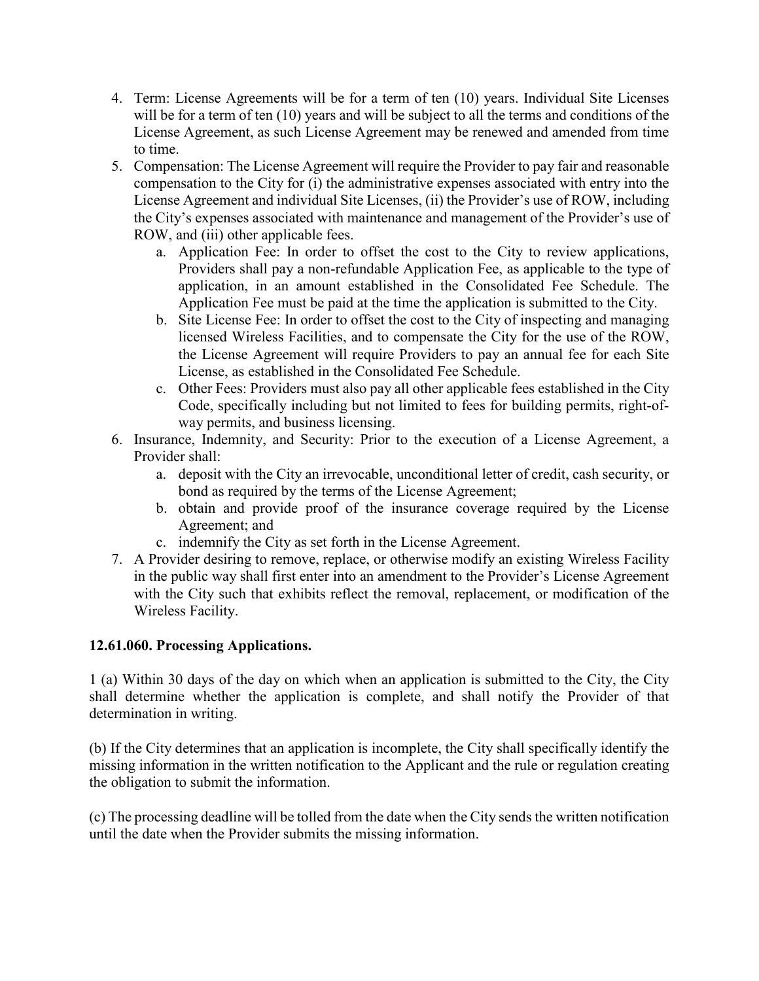- 4. Term: License Agreements will be for a term of ten (10) years. Individual Site Licenses will be for a term of ten (10) years and will be subject to all the terms and conditions of the License Agreement, as such License Agreement may be renewed and amended from time to time.
- 5. Compensation: The License Agreement will require the Provider to pay fair and reasonable compensation to the City for (i) the administrative expenses associated with entry into the License Agreement and individual Site Licenses, (ii) the Provider's use of ROW, including the City's expenses associated with maintenance and management of the Provider's use of ROW, and (iii) other applicable fees.
	- a. Application Fee: In order to offset the cost to the City to review applications, Providers shall pay a non-refundable Application Fee, as applicable to the type of application, in an amount established in the Consolidated Fee Schedule. The Application Fee must be paid at the time the application is submitted to the City.
	- b. Site License Fee: In order to offset the cost to the City of inspecting and managing licensed Wireless Facilities, and to compensate the City for the use of the ROW, the License Agreement will require Providers to pay an annual fee for each Site License, as established in the Consolidated Fee Schedule.
	- c. Other Fees: Providers must also pay all other applicable fees established in the City Code, specifically including but not limited to fees for building permits, right-ofway permits, and business licensing.
- 6. Insurance, Indemnity, and Security: Prior to the execution of a License Agreement, a Provider shall:
	- a. deposit with the City an irrevocable, unconditional letter of credit, cash security, or bond as required by the terms of the License Agreement;
	- b. obtain and provide proof of the insurance coverage required by the License Agreement; and
	- c. indemnify the City as set forth in the License Agreement.
- 7. A Provider desiring to remove, replace, or otherwise modify an existing Wireless Facility in the public way shall first enter into an amendment to the Provider's License Agreement with the City such that exhibits reflect the removal, replacement, or modification of the Wireless Facility.

## **12.61.060. Processing Applications.**

1 (a) Within 30 days of the day on which when an application is submitted to the City, the City shall determine whether the application is complete, and shall notify the Provider of that determination in writing.

(b) If the City determines that an application is incomplete, the City shall specifically identify the missing information in the written notification to the Applicant and the rule or regulation creating the obligation to submit the information.

(c) The processing deadline will be tolled from the date when the City sends the written notification until the date when the Provider submits the missing information.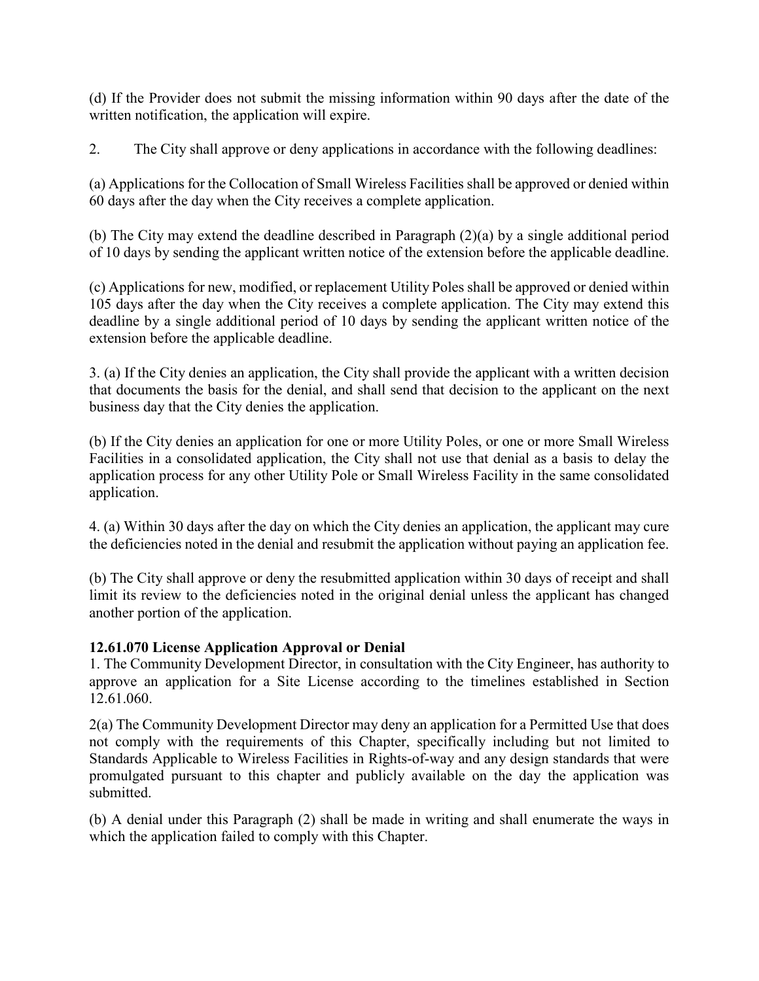(d) If the Provider does not submit the missing information within 90 days after the date of the written notification, the application will expire.

2. The City shall approve or deny applications in accordance with the following deadlines:

(a) Applications for the Collocation of Small Wireless Facilities shall be approved or denied within 60 days after the day when the City receives a complete application.

(b) The City may extend the deadline described in Paragraph  $(2)(a)$  by a single additional period of 10 days by sending the applicant written notice of the extension before the applicable deadline.

(c) Applications for new, modified, or replacement Utility Poles shall be approved or denied within 105 days after the day when the City receives a complete application. The City may extend this deadline by a single additional period of 10 days by sending the applicant written notice of the extension before the applicable deadline.

3. (a) If the City denies an application, the City shall provide the applicant with a written decision that documents the basis for the denial, and shall send that decision to the applicant on the next business day that the City denies the application.

(b) If the City denies an application for one or more Utility Poles, or one or more Small Wireless Facilities in a consolidated application, the City shall not use that denial as a basis to delay the application process for any other Utility Pole or Small Wireless Facility in the same consolidated application.

4. (a) Within 30 days after the day on which the City denies an application, the applicant may cure the deficiencies noted in the denial and resubmit the application without paying an application fee.

(b) The City shall approve or deny the resubmitted application within 30 days of receipt and shall limit its review to the deficiencies noted in the original denial unless the applicant has changed another portion of the application.

# **12.61.070 License Application Approval or Denial**

1. The Community Development Director, in consultation with the City Engineer, has authority to approve an application for a Site License according to the timelines established in Section 12.61.060.

2(a) The Community Development Director may deny an application for a Permitted Use that does not comply with the requirements of this Chapter, specifically including but not limited to Standards Applicable to Wireless Facilities in Rights-of-way and any design standards that were promulgated pursuant to this chapter and publicly available on the day the application was submitted.

(b) A denial under this Paragraph (2) shall be made in writing and shall enumerate the ways in which the application failed to comply with this Chapter.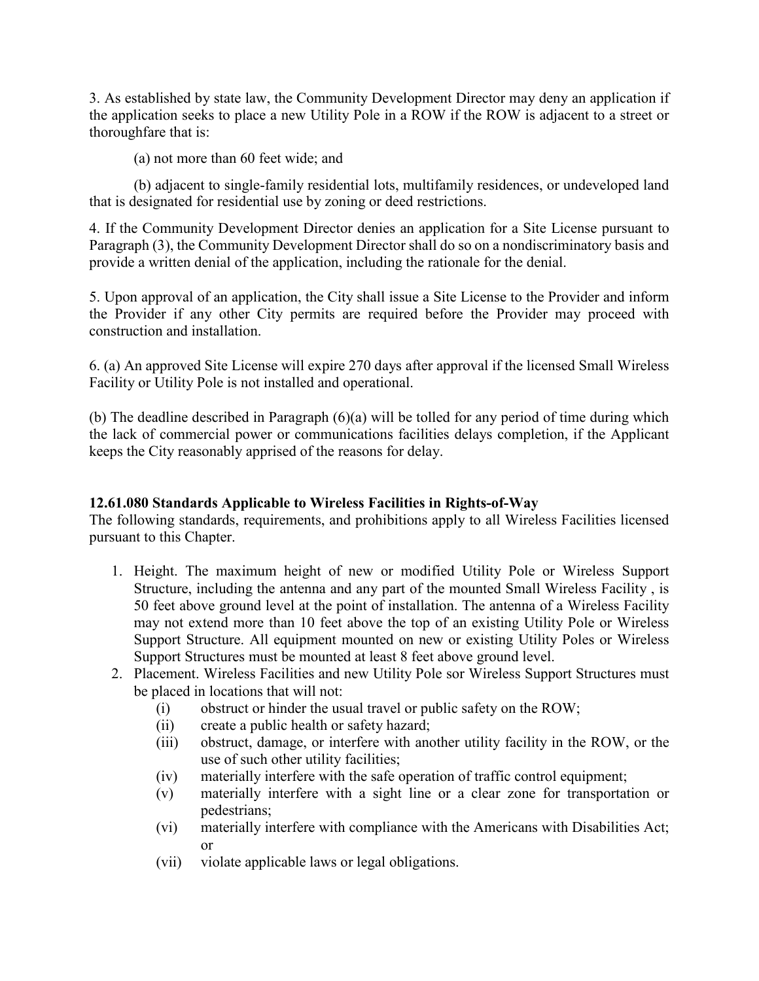3. As established by state law, the Community Development Director may deny an application if the application seeks to place a new Utility Pole in a ROW if the ROW is adjacent to a street or thoroughfare that is:

(a) not more than 60 feet wide; and

(b) adjacent to single-family residential lots, multifamily residences, or undeveloped land that is designated for residential use by zoning or deed restrictions.

4. If the Community Development Director denies an application for a Site License pursuant to Paragraph (3), the Community Development Director shall do so on a nondiscriminatory basis and provide a written denial of the application, including the rationale for the denial.

5. Upon approval of an application, the City shall issue a Site License to the Provider and inform the Provider if any other City permits are required before the Provider may proceed with construction and installation.

6. (a) An approved Site License will expire 270 days after approval if the licensed Small Wireless Facility or Utility Pole is not installed and operational.

(b) The deadline described in Paragraph (6)(a) will be tolled for any period of time during which the lack of commercial power or communications facilities delays completion, if the Applicant keeps the City reasonably apprised of the reasons for delay.

## **12.61.080 Standards Applicable to Wireless Facilities in Rights-of-Way**

The following standards, requirements, and prohibitions apply to all Wireless Facilities licensed pursuant to this Chapter.

- 1. Height. The maximum height of new or modified Utility Pole or Wireless Support Structure, including the antenna and any part of the mounted Small Wireless Facility , is 50 feet above ground level at the point of installation. The antenna of a Wireless Facility may not extend more than 10 feet above the top of an existing Utility Pole or Wireless Support Structure. All equipment mounted on new or existing Utility Poles or Wireless Support Structures must be mounted at least 8 feet above ground level.
- 2. Placement. Wireless Facilities and new Utility Pole sor Wireless Support Structures must be placed in locations that will not:
	- (i) obstruct or hinder the usual travel or public safety on the ROW;
	- (ii) create a public health or safety hazard;
	- (iii) obstruct, damage, or interfere with another utility facility in the ROW, or the use of such other utility facilities;
	- (iv) materially interfere with the safe operation of traffic control equipment;
	- (v) materially interfere with a sight line or a clear zone for transportation or pedestrians;
	- (vi) materially interfere with compliance with the Americans with Disabilities Act; or
	- (vii) violate applicable laws or legal obligations.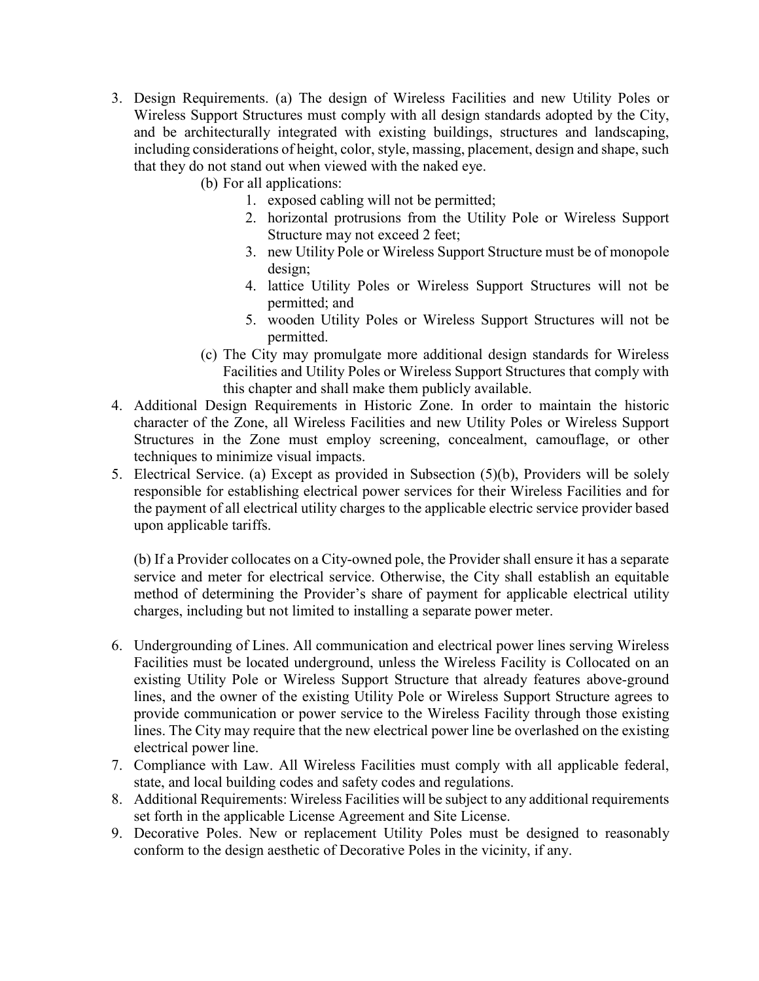- 3. Design Requirements. (a) The design of Wireless Facilities and new Utility Poles or Wireless Support Structures must comply with all design standards adopted by the City, and be architecturally integrated with existing buildings, structures and landscaping, including considerations of height, color, style, massing, placement, design and shape, such that they do not stand out when viewed with the naked eye.
	- (b) For all applications:
		- 1. exposed cabling will not be permitted;
		- 2. horizontal protrusions from the Utility Pole or Wireless Support Structure may not exceed 2 feet;
		- 3. new Utility Pole or Wireless Support Structure must be of monopole design;
		- 4. lattice Utility Poles or Wireless Support Structures will not be permitted; and
		- 5. wooden Utility Poles or Wireless Support Structures will not be permitted.
	- (c) The City may promulgate more additional design standards for Wireless Facilities and Utility Poles or Wireless Support Structures that comply with this chapter and shall make them publicly available.
- 4. Additional Design Requirements in Historic Zone. In order to maintain the historic character of the Zone, all Wireless Facilities and new Utility Poles or Wireless Support Structures in the Zone must employ screening, concealment, camouflage, or other techniques to minimize visual impacts.
- 5. Electrical Service. (a) Except as provided in Subsection (5)(b), Providers will be solely responsible for establishing electrical power services for their Wireless Facilities and for the payment of all electrical utility charges to the applicable electric service provider based upon applicable tariffs.

(b) If a Provider collocates on a City-owned pole, the Provider shall ensure it has a separate service and meter for electrical service. Otherwise, the City shall establish an equitable method of determining the Provider's share of payment for applicable electrical utility charges, including but not limited to installing a separate power meter.

- 6. Undergrounding of Lines. All communication and electrical power lines serving Wireless Facilities must be located underground, unless the Wireless Facility is Collocated on an existing Utility Pole or Wireless Support Structure that already features above-ground lines, and the owner of the existing Utility Pole or Wireless Support Structure agrees to provide communication or power service to the Wireless Facility through those existing lines. The City may require that the new electrical power line be overlashed on the existing electrical power line.
- 7. Compliance with Law. All Wireless Facilities must comply with all applicable federal, state, and local building codes and safety codes and regulations.
- 8. Additional Requirements: Wireless Facilities will be subject to any additional requirements set forth in the applicable License Agreement and Site License.
- 9. Decorative Poles. New or replacement Utility Poles must be designed to reasonably conform to the design aesthetic of Decorative Poles in the vicinity, if any.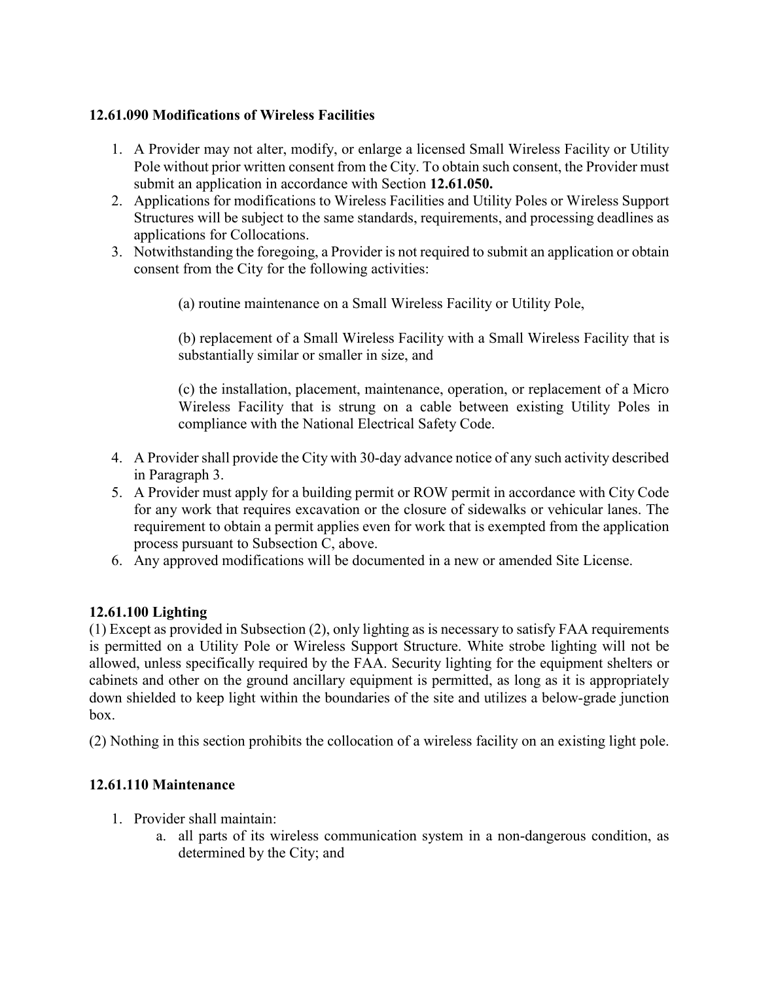## **12.61.090 Modifications of Wireless Facilities**

- 1. A Provider may not alter, modify, or enlarge a licensed Small Wireless Facility or Utility Pole without prior written consent from the City. To obtain such consent, the Provider must submit an application in accordance with Section **12.61.050.**
- 2. Applications for modifications to Wireless Facilities and Utility Poles or Wireless Support Structures will be subject to the same standards, requirements, and processing deadlines as applications for Collocations.
- 3. Notwithstanding the foregoing, a Provider is not required to submit an application or obtain consent from the City for the following activities:

(a) routine maintenance on a Small Wireless Facility or Utility Pole,

(b) replacement of a Small Wireless Facility with a Small Wireless Facility that is substantially similar or smaller in size, and

(c) the installation, placement, maintenance, operation, or replacement of a Micro Wireless Facility that is strung on a cable between existing Utility Poles in compliance with the National Electrical Safety Code.

- 4. A Provider shall provide the City with 30-day advance notice of any such activity described in Paragraph 3.
- 5. A Provider must apply for a building permit or ROW permit in accordance with City Code for any work that requires excavation or the closure of sidewalks or vehicular lanes. The requirement to obtain a permit applies even for work that is exempted from the application process pursuant to Subsection C, above.
- 6. Any approved modifications will be documented in a new or amended Site License.

## **12.61.100 Lighting**

(1) Except as provided in Subsection (2), only lighting as is necessary to satisfy FAA requirements is permitted on a Utility Pole or Wireless Support Structure. White strobe lighting will not be allowed, unless specifically required by the FAA. Security lighting for the equipment shelters or cabinets and other on the ground ancillary equipment is permitted, as long as it is appropriately down shielded to keep light within the boundaries of the site and utilizes a below-grade junction box.

(2) Nothing in this section prohibits the collocation of a wireless facility on an existing light pole.

## **12.61.110 Maintenance**

- 1. Provider shall maintain:
	- a. all parts of its wireless communication system in a non-dangerous condition, as determined by the City; and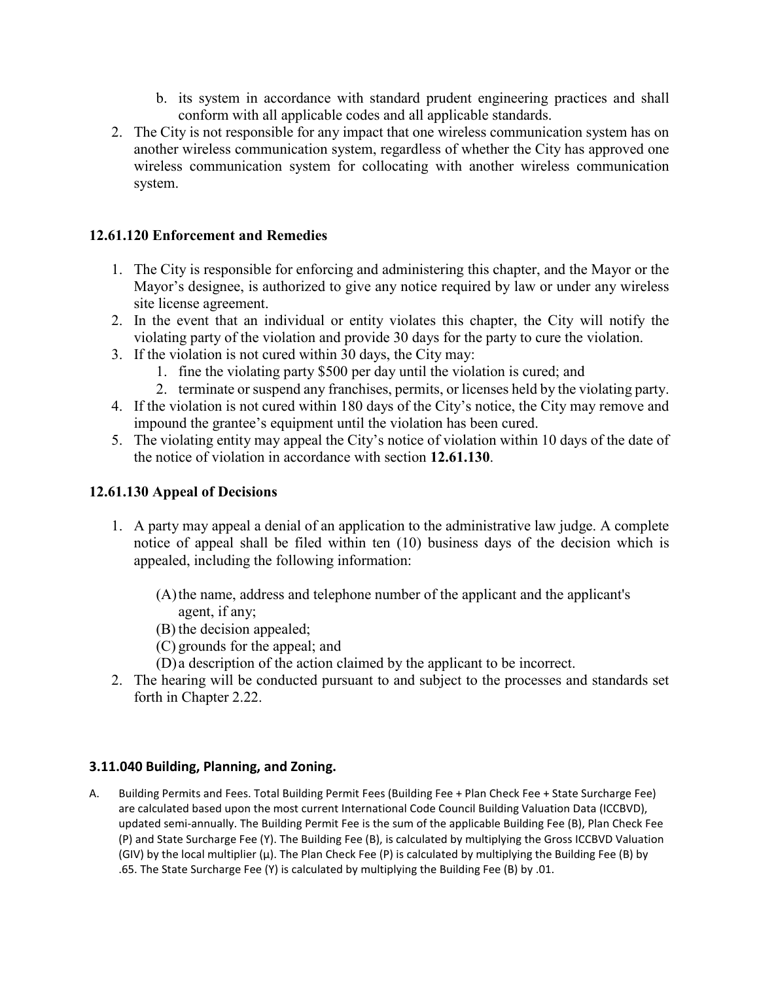- b. its system in accordance with standard prudent engineering practices and shall conform with all applicable codes and all applicable standards.
- 2. The City is not responsible for any impact that one wireless communication system has on another wireless communication system, regardless of whether the City has approved one wireless communication system for collocating with another wireless communication system.

### **12.61.120 Enforcement and Remedies**

- 1. The City is responsible for enforcing and administering this chapter, and the Mayor or the Mayor's designee, is authorized to give any notice required by law or under any wireless site license agreement.
- 2. In the event that an individual or entity violates this chapter, the City will notify the violating party of the violation and provide 30 days for the party to cure the violation.
- 3. If the violation is not cured within 30 days, the City may:
	- 1. fine the violating party \$500 per day until the violation is cured; and
	- 2. terminate or suspend any franchises, permits, or licenses held by the violating party.
- 4. If the violation is not cured within 180 days of the City's notice, the City may remove and impound the grantee's equipment until the violation has been cured.
- 5. The violating entity may appeal the City's notice of violation within 10 days of the date of the notice of violation in accordance with section **12.61.130**.

#### **12.61.130 Appeal of Decisions**

- 1. A party may appeal a denial of an application to the administrative law judge. A complete notice of appeal shall be filed within ten (10) business days of the decision which is appealed, including the following information:
	- (A)the name, address and telephone number of the applicant and the applicant's agent, if any;
	- (B) the decision appealed;
	- (C) grounds for the appeal; and
	- (D) a description of the action claimed by the applicant to be incorrect.
- 2. The hearing will be conducted pursuant to and subject to the processes and standards set forth in Chapter 2.22.

#### **3.11.040 Building, Planning, and Zoning.**

A. Building Permits and Fees. Total Building Permit Fees (Building Fee + Plan Check Fee + State Surcharge Fee) are calculated based upon the most current International Code Council Building Valuation Data (ICCBVD), updated semi-annually. The Building Permit Fee is the sum of the applicable Building Fee (Β), Plan Check Fee (Ρ) and State Surcharge Fee (Υ). The Building Fee (Β), is calculated by multiplying the Gross ICCBVD Valuation (GIV) by the local multiplier (µ). The Plan Check Fee (Ρ) is calculated by multiplying the Building Fee (Β) by .65. The State Surcharge Fee (Υ) is calculated by multiplying the Building Fee (Β) by .01.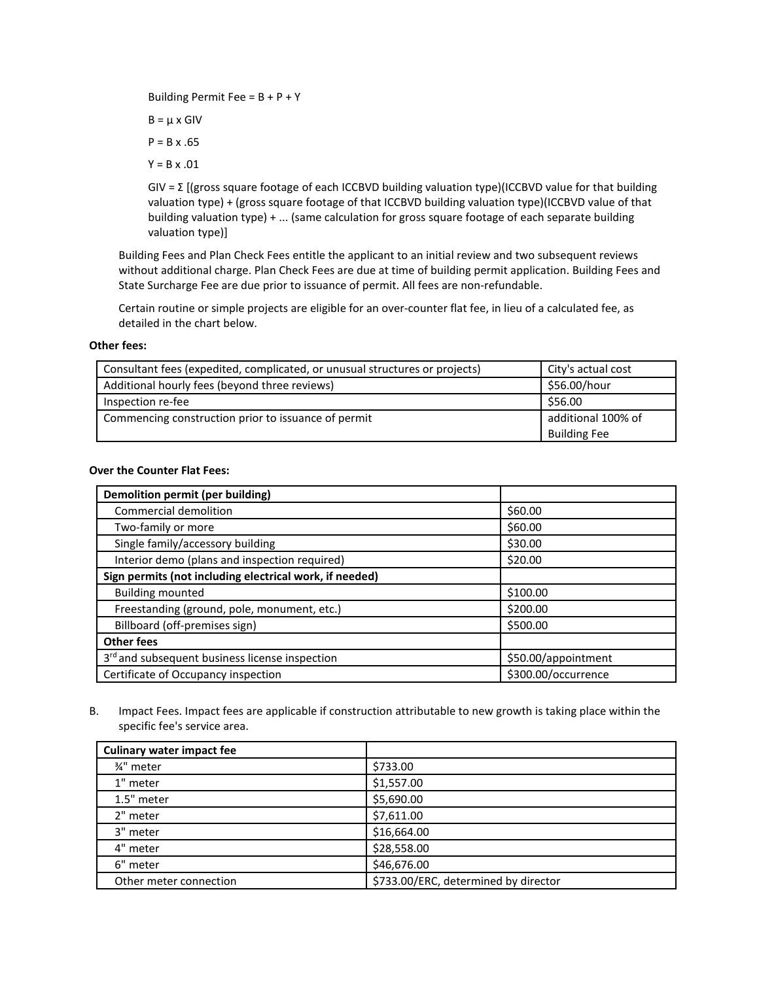Building Permit Fee = Β + Ρ + Υ

 $B = \mu \times G$ IV

 $P = B \times .65$ 

Υ = Β x .01

GIV = Σ [(gross square footage of each ICCBVD building valuation type)(ICCBVD value for that building valuation type) + (gross square footage of that ICCBVD building valuation type)(ICCBVD value of that building valuation type) + ... (same calculation for gross square footage of each separate building valuation type)]

Building Fees and Plan Check Fees entitle the applicant to an initial review and two subsequent reviews without additional charge. Plan Check Fees are due at time of building permit application. Building Fees and State Surcharge Fee are due prior to issuance of permit. All fees are non-refundable.

Certain routine or simple projects are eligible for an over-counter flat fee, in lieu of a calculated fee, as detailed in the chart below.

#### **Other fees:**

| Consultant fees (expedited, complicated, or unusual structures or projects) | City's actual cost  |
|-----------------------------------------------------------------------------|---------------------|
| Additional hourly fees (beyond three reviews)                               | \$56.00/hour        |
| Inspection re-fee                                                           | \$56.00             |
| Commencing construction prior to issuance of permit                         | additional 100% of  |
|                                                                             | <b>Building Fee</b> |

#### **Over the Counter Flat Fees:**

| Demolition permit (per building)                           |                     |
|------------------------------------------------------------|---------------------|
| Commercial demolition                                      | \$60.00             |
| Two-family or more                                         | \$60.00             |
| Single family/accessory building                           | \$30.00             |
| Interior demo (plans and inspection required)              | \$20.00             |
| Sign permits (not including electrical work, if needed)    |                     |
| <b>Building mounted</b>                                    | \$100.00            |
| Freestanding (ground, pole, monument, etc.)                | \$200.00            |
| Billboard (off-premises sign)                              | \$500.00            |
| <b>Other fees</b>                                          |                     |
| 3 <sup>rd</sup> and subsequent business license inspection | \$50.00/appointment |
| Certificate of Occupancy inspection                        | \$300.00/occurrence |

B. Impact Fees. Impact fees are applicable if construction attributable to new growth is taking place within the specific fee's service area.

| <b>Culinary water impact fee</b> |                                      |
|----------------------------------|--------------------------------------|
| 3⁄4" meter                       | \$733.00                             |
| 1" meter                         | \$1,557.00                           |
| 1.5" meter                       | \$5,690.00                           |
| 2" meter                         | \$7,611.00                           |
| 3" meter                         | \$16,664.00                          |
| 4" meter                         | \$28,558.00                          |
| 6" meter                         | \$46,676.00                          |
| Other meter connection           | \$733.00/ERC, determined by director |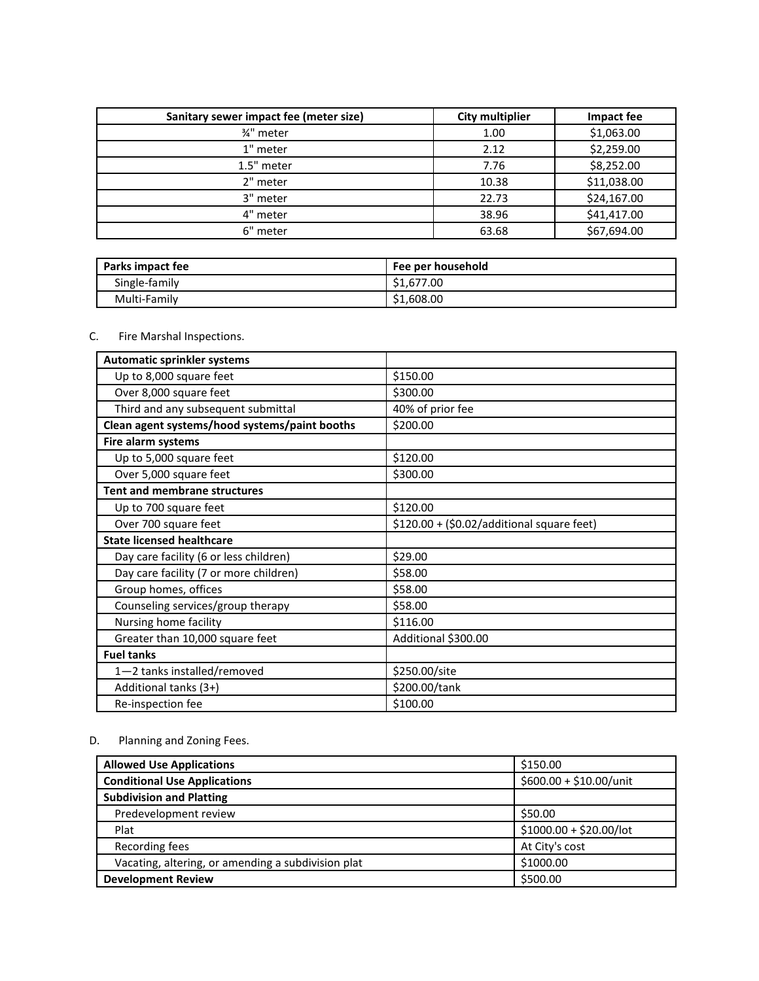| Sanitary sewer impact fee (meter size) | <b>City multiplier</b> | Impact fee  |
|----------------------------------------|------------------------|-------------|
| 3⁄4" meter                             | 1.00                   | \$1,063.00  |
| 1" meter                               | 2.12                   | \$2,259.00  |
| 1.5" meter                             | 7.76                   | \$8,252.00  |
| 2" meter                               | 10.38                  | \$11,038.00 |
| 3" meter                               | 22.73                  | \$24,167.00 |
| 4" meter                               | 38.96                  | \$41,417.00 |
| 6" meter                               | 63.68                  | \$67,694.00 |

| Parks impact fee | Fee per household |
|------------------|-------------------|
| Single-family    | \$1,677.00        |
| Multi-Family     | \$1,608.00        |

#### C. Fire Marshal Inspections.

| <b>Automatic sprinkler systems</b>            |                                            |
|-----------------------------------------------|--------------------------------------------|
| Up to 8,000 square feet                       | \$150.00                                   |
| Over 8,000 square feet                        | \$300.00                                   |
| Third and any subsequent submittal            | 40% of prior fee                           |
| Clean agent systems/hood systems/paint booths | \$200.00                                   |
| Fire alarm systems                            |                                            |
| Up to 5,000 square feet                       | \$120.00                                   |
| Over 5,000 square feet                        | \$300.00                                   |
| <b>Tent and membrane structures</b>           |                                            |
| Up to 700 square feet                         | \$120.00                                   |
| Over 700 square feet                          | $$120.00 + ($0.02/additional square feet)$ |
| <b>State licensed healthcare</b>              |                                            |
| Day care facility (6 or less children)        | \$29.00                                    |
| Day care facility (7 or more children)        | \$58.00                                    |
| Group homes, offices                          | \$58.00                                    |
| Counseling services/group therapy             | \$58.00                                    |
| Nursing home facility                         | \$116.00                                   |
| Greater than 10,000 square feet               | Additional \$300.00                        |
| <b>Fuel tanks</b>                             |                                            |
| 1-2 tanks installed/removed                   | \$250.00/site                              |
| Additional tanks (3+)                         | \$200.00/tank                              |
| Re-inspection fee                             | \$100.00                                   |

#### D. Planning and Zoning Fees.

| <b>Allowed Use Applications</b>                    | \$150.00                 |
|----------------------------------------------------|--------------------------|
| <b>Conditional Use Applications</b>                | $$600.00 + $10.00/$ unit |
| <b>Subdivision and Platting</b>                    |                          |
| Predevelopment review                              | \$50.00                  |
| Plat                                               | $$1000.00 + $20.00/$ lot |
| Recording fees                                     | At City's cost           |
| Vacating, altering, or amending a subdivision plat | \$1000.00                |
| <b>Development Review</b>                          | \$500.00                 |